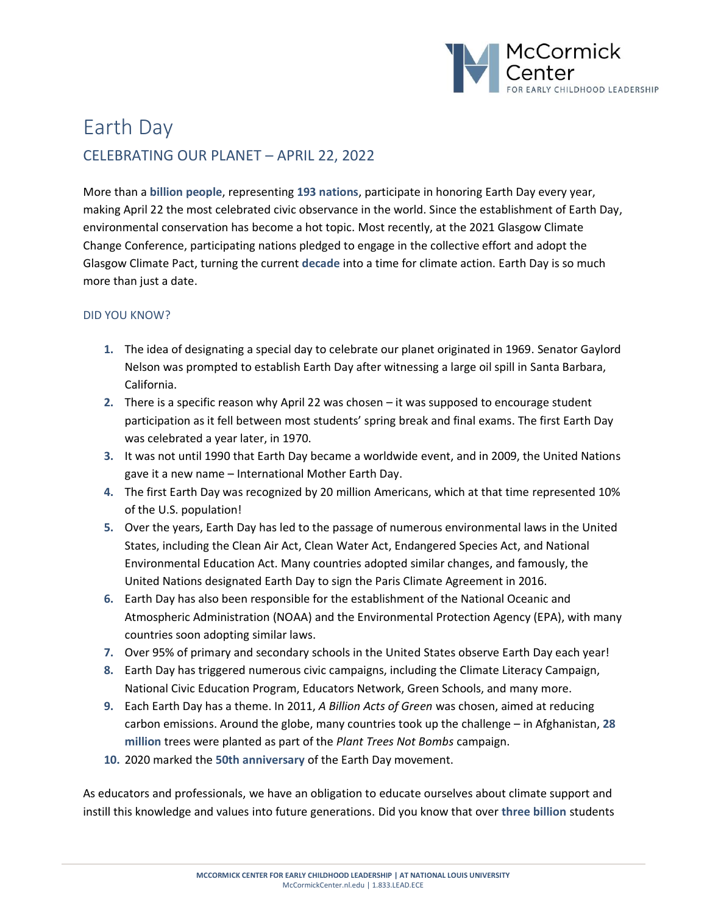

# Earth Day CELEBRATING OUR PLANET – APRIL 22, 2022

More than a **billion people**, representing **193 nations**, participate in honoring Earth Day every year, making April 22 the most celebrated civic observance in the world. Since the establishment of Earth Day, environmental conservation has become a hot topic. Most recently, at the 2021 Glasgow Climate Change Conference, participating nations pledged to engage in the collective effort and adopt the Glasgow Climate Pact, turning the current **decade** into a time for climate action. Earth Day is so much more than just a date.

### DID YOU KNOW?

- **1.** The idea of designating a special day to celebrate our planet originated in 1969. Senator Gaylord Nelson was prompted to establish Earth Day after witnessing a large oil spill in Santa Barbara, California.
- **2.** There is a specific reason why April 22 was chosen it was supposed to encourage student participation as it fell between most students' spring break and final exams. The first Earth Day was celebrated a year later, in 1970.
- **3.** It was not until 1990 that Earth Day became a worldwide event, and in 2009, the United Nations gave it a new name – International Mother Earth Day.
- **4.** The first Earth Day was recognized by 20 million Americans, which at that time represented 10% of the U.S. population!
- **5.** Over the years, Earth Day has led to the passage of numerous environmental laws in the United States, including the Clean Air Act, Clean Water Act, Endangered Species Act, and National Environmental Education Act. Many countries adopted similar changes, and famously, the United Nations designated Earth Day to sign the Paris Climate Agreement in 2016.
- **6.** Earth Day has also been responsible for the establishment of the National Oceanic and Atmospheric Administration (NOAA) and the Environmental Protection Agency (EPA), with many countries soon adopting similar laws.
- **7.** Over 95% of primary and secondary schools in the United States observe Earth Day each year!
- **8.** Earth Day has triggered numerous civic campaigns, including the Climate Literacy Campaign, National Civic Education Program, Educators Network, Green Schools, and many more.
- **9.** Each Earth Day has a theme. In 2011, *A Billion Acts of Green* was chosen, aimed at reducing carbon emissions. Around the globe, many countries took up the challenge – in Afghanistan, **28 million** trees were planted as part of the *Plant Trees Not Bombs* campaign.
- **10.** 2020 marked the **50th anniversary** of the Earth Day movement.

As educators and professionals, we have an obligation to educate ourselves about climate support and instill this knowledge and values into future generations. Did you know that over **three billion** students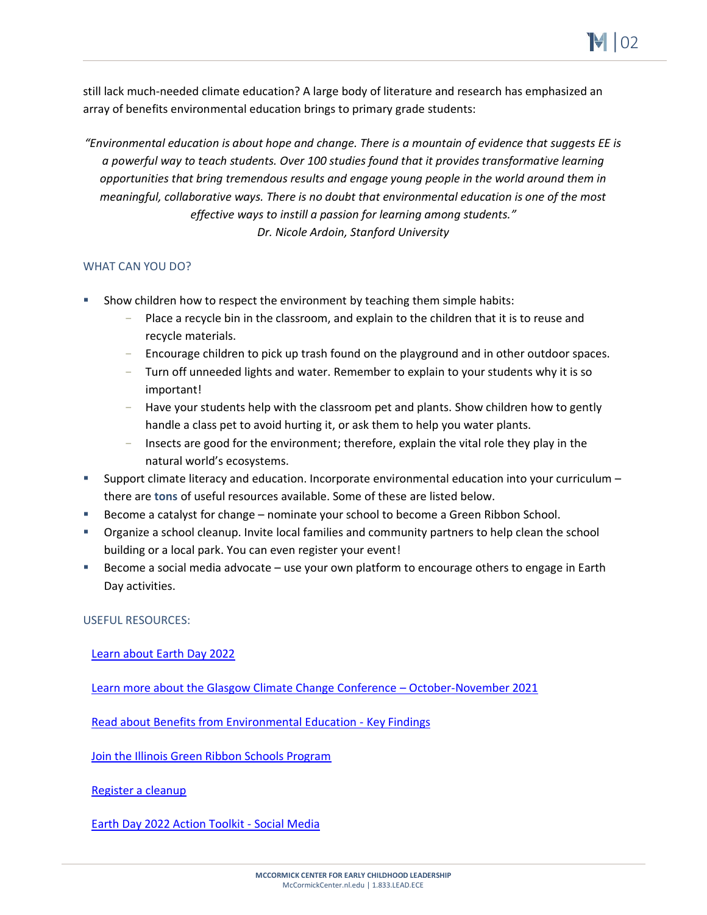still lack much-needed climate education? A large body of literature and research has emphasized an array of benefits environmental education brings to primary grade students:

*"Environmental education is about hope and change. There is a mountain of evidence that suggests EE is a powerful way to teach students. Over 100 studies found that it provides transformative learning opportunities that bring tremendous results and engage young people in the world around them in meaningful, collaborative ways. There is no doubt that environmental education is one of the most effective ways to instill a passion for learning among students." Dr. Nicole Ardoin, Stanford University* 

## WHAT CAN YOU DO?

- Show children how to respect the environment by teaching them simple habits:
	- Place a recycle bin in the classroom, and explain to the children that it is to reuse and recycle materials.
	- Encourage children to pick up trash found on the playground and in other outdoor spaces.
	- Turn off unneeded lights and water. Remember to explain to your students why it is so important!
	- Have your students help with the classroom pet and plants. Show children how to gently handle a class pet to avoid hurting it, or ask them to help you water plants.
	- Insects are good for the environment; therefore, explain the vital role they play in the natural world's ecosystems.
- Support climate literacy and education. Incorporate environmental education into your curriculum  $$ there are **tons** of useful resources available. Some of these are listed below.
- Become a catalyst for change nominate your school to become a Green Ribbon School.
- **•** Organize a school cleanup. Invite local families and community partners to help clean the school building or a local park. You can even register your event!
- Become a social media advocate use your own platform to encourage others to engage in Earth Day activities.

### USEFUL RESOURCES:

### [Learn about Earth Day 2022](https://www.earthday.org/earth-day-2022/)

[Learn more about the Glasgow Climate Change Conference](https://unfccc.int/conference/glasgow-climate-change-conference-october-november-2021) – October-November 2021

[Read about Benefits from Environmental Education -](https://cdn.naaee.org/sites/default/files/eepro/resource/files/k-12_student_key_findings_0.pdf) Key Findings

[Join the Illinois Green Ribbon Schools Program](https://illinoisgreenalliance.org/illinois-green-schools-project/)

[Register a cleanup](https://www.earthday.org/actions/post-a-cleanup/)

[Earth Day 2022 Action Toolkit -](https://www.earthday.org/earth-day-2022-action-toolkit/) Social Media